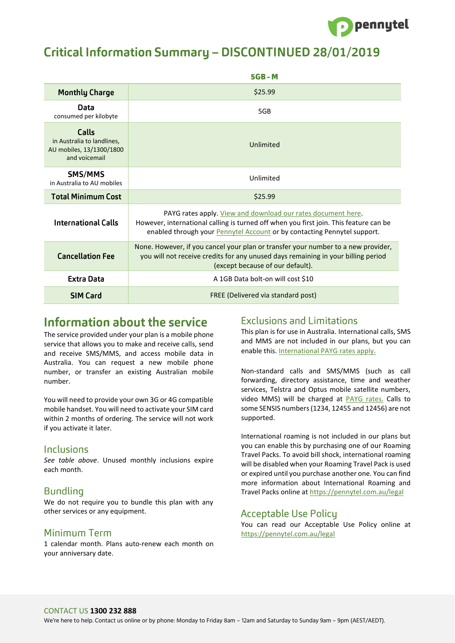

# **Critical Information Summary - DISCONTINUED 28/01/2019**

|                                                                                  | $5GB - M$                                                                                                                                                                                                                                |
|----------------------------------------------------------------------------------|------------------------------------------------------------------------------------------------------------------------------------------------------------------------------------------------------------------------------------------|
| <b>Monthly Charge</b>                                                            | \$25.99                                                                                                                                                                                                                                  |
| Data<br>consumed per kilobyte                                                    | 5GB                                                                                                                                                                                                                                      |
| Calls<br>in Australia to landlines,<br>AU mobiles, 13/1300/1800<br>and voicemail | Unlimited                                                                                                                                                                                                                                |
| SMS/MMS<br>in Australia to AU mobiles                                            | Unlimited                                                                                                                                                                                                                                |
| <b>Total Minimum Cost</b>                                                        | \$25.99                                                                                                                                                                                                                                  |
| <b>International Calls</b>                                                       | PAYG rates apply. View and download our rates document here.<br>However, international calling is turned off when you first join. This feature can be<br>enabled through your <b>Pennytel Account</b> or by contacting Pennytel support. |
| <b>Cancellation Fee</b>                                                          | None. However, if you cancel your plan or transfer your number to a new provider,<br>you will not receive credits for any unused days remaining in your billing period<br>(except because of our default).                               |
| <b>Extra Data</b>                                                                | A 1GB Data bolt-on will cost \$10                                                                                                                                                                                                        |
| <b>SIM Card</b>                                                                  | FREE (Delivered via standard post)                                                                                                                                                                                                       |

## Information about the service

The service provided under your plan is a mobile phone service that allows you to make and receive calls, send and receive SMS/MMS, and access mobile data in Australia. You can request a new mobile phone number, or transfer an existing Australian mobile number.

You will need to provide your own 3G or 4G compatible mobile handset. You will need to activate your SIM card within 2 months of ordering. The service will not work if you activate it later.

#### Inclusions

*See table above*. Unused monthly inclusions expire each month.

#### **Bundling**

We do not require you to bundle this plan with any other services or any equipment.

#### Minimum Term

1 calendar month. Plans auto-renew each month on your anniversary date.

#### **Exclusions and Limitations**

This plan is for use in Australia. International calls, SMS and MMS are not included in our plans, but you can enable this. [International PAYG rates apply](https://pennytel.com.au/legal).

Non-standard calls and SMS/MMS (such as call forwarding, directory assistance, time and weather services, Telstra and Optus mobile satellite numbers, video MMS) will be charged at [PAYG rates.](https://pennytel.com.au/legal) Calls to some SENSIS numbers (1234, 12455 and 12456) are not supported.

International roaming is not included in our plans but you can enable this by purchasing one of our Roaming Travel Packs. To avoid bill shock, international roaming will be disabled when your Roaming Travel Pack is used or expired until you purchase another one. You can find more information about International Roaming and Travel Packs online at https://pennytel.com.au/legal

### **Acceptable Use Policy**

You can read our Acceptable Use Policy online at <https://pennytel.com.au/legal>

#### CONTACT US **1300 232 888**

We're here to help. Contact us online or by phone: Monday to Friday 8am – 12am and Saturday to Sunday 9am – 9pm (AEST/AEDT).